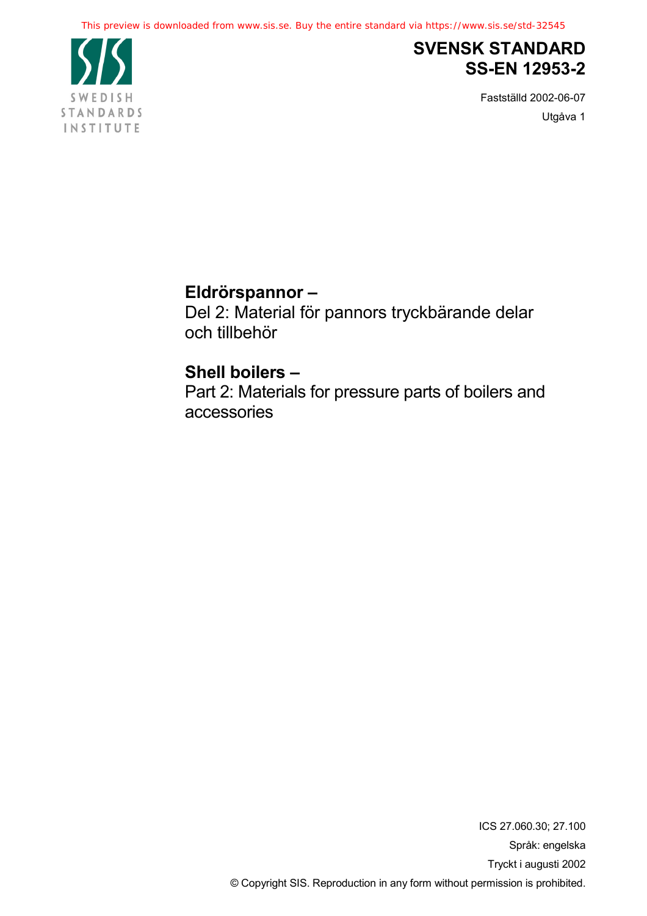

# **SVENSK STANDARD SS-EN 12953-2**

Fastställd 2002-06-07 Utgåva 1

# **Eldrörspannor –**

Del 2: Material för pannors tryckbärande delar och tillbehör

# **Shell boilers –**

Part 2: Materials for pressure parts of boilers and accessories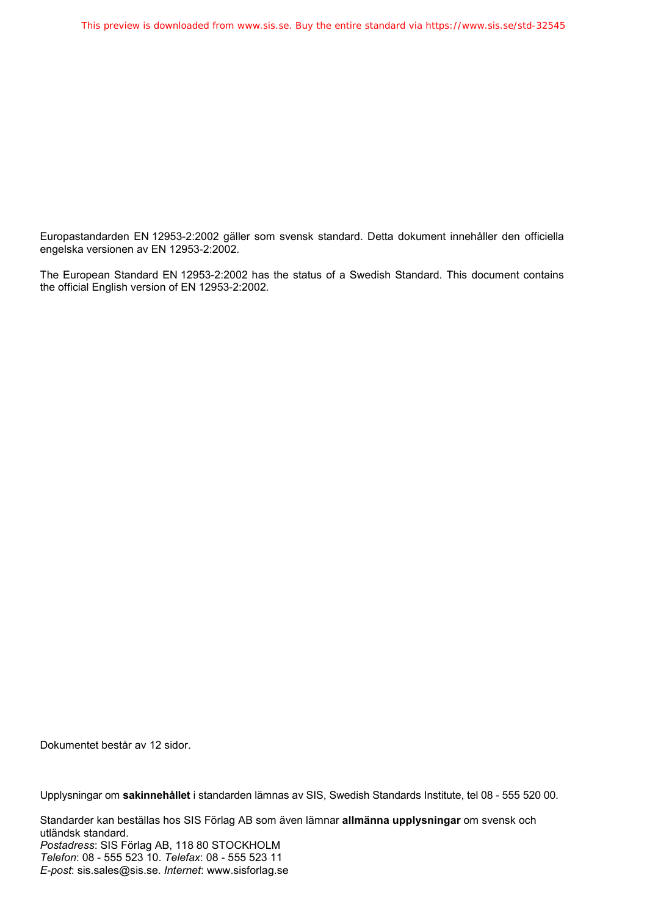Europastandarden EN 12953-2:2002 gäller som svensk standard. Detta dokument innehåller den officiella engelska versionen av EN 12953-2:2002.

The European Standard EN 12953-2:2002 has the status of a Swedish Standard. This document contains the official English version of EN 12953-2:2002.

Dokumentet består av 12 sidor.

Upplysningar om **sakinnehållet** i standarden lämnas av SIS, Swedish Standards Institute, tel 08 - 555 520 00.

Standarder kan beställas hos SIS Förlag AB som även lämnar **allmänna upplysningar** om svensk och utländsk standard. *Postadress*: SIS Förlag AB, 118 80 STOCKHOLM *Telefon*: 08 - 555 523 10. *Telefax*: 08 - 555 523 11 *E-post*: sis.sales@sis.se. *Internet*: www.sisforlag.se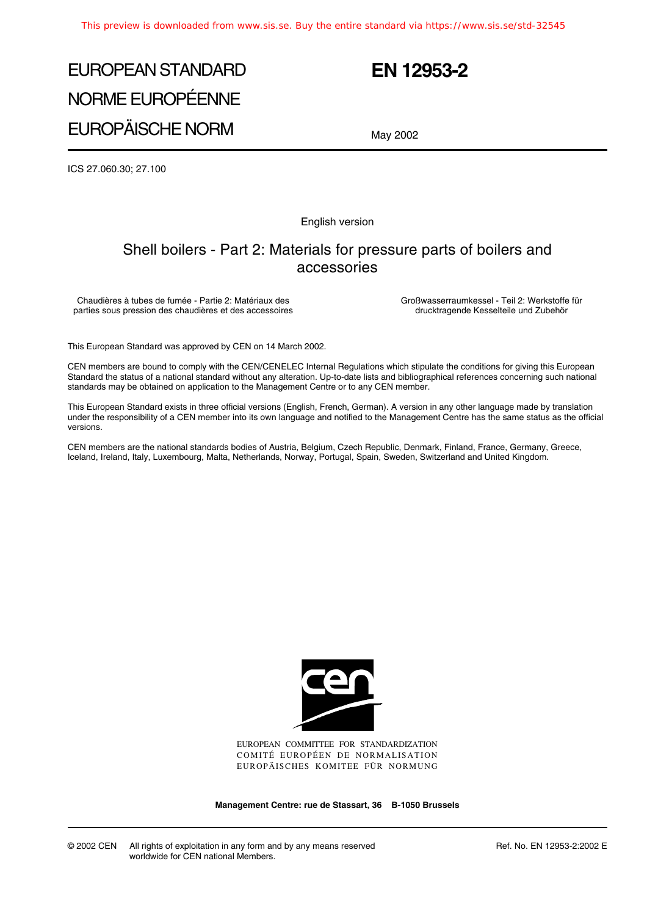# EUROPEAN STANDARD NORME EUROPÉENNE EUROPÄISCHE NORM

## **EN 12953-2**

May 2002

ICS 27.060.30; 27.100

English version

## Shell boilers - Part 2: Materials for pressure parts of boilers and accessories

Chaudières à tubes de fumée - Partie 2: Matériaux des parties sous pression des chaudières et des accessoires Großwasserraumkessel - Teil 2: Werkstoffe für drucktragende Kesselteile und Zubehör

This European Standard was approved by CEN on 14 March 2002.

CEN members are bound to comply with the CEN/CENELEC Internal Regulations which stipulate the conditions for giving this European Standard the status of a national standard without any alteration. Up-to-date lists and bibliographical references concerning such national standards may be obtained on application to the Management Centre or to any CEN member.

This European Standard exists in three official versions (English, French, German). A version in any other language made by translation under the responsibility of a CEN member into its own language and notified to the Management Centre has the same status as the official versions.

CEN members are the national standards bodies of Austria, Belgium, Czech Republic, Denmark, Finland, France, Germany, Greece, Iceland, Ireland, Italy, Luxembourg, Malta, Netherlands, Norway, Portugal, Spain, Sweden, Switzerland and United Kingdom.



EUROPEAN COMMITTEE FOR STANDARDIZATION COMITÉ EUROPÉEN DE NORMALISATION EUROPÄISCHES KOMITEE FÜR NORMUNG

**Management Centre: rue de Stassart, 36 B-1050 Brussels**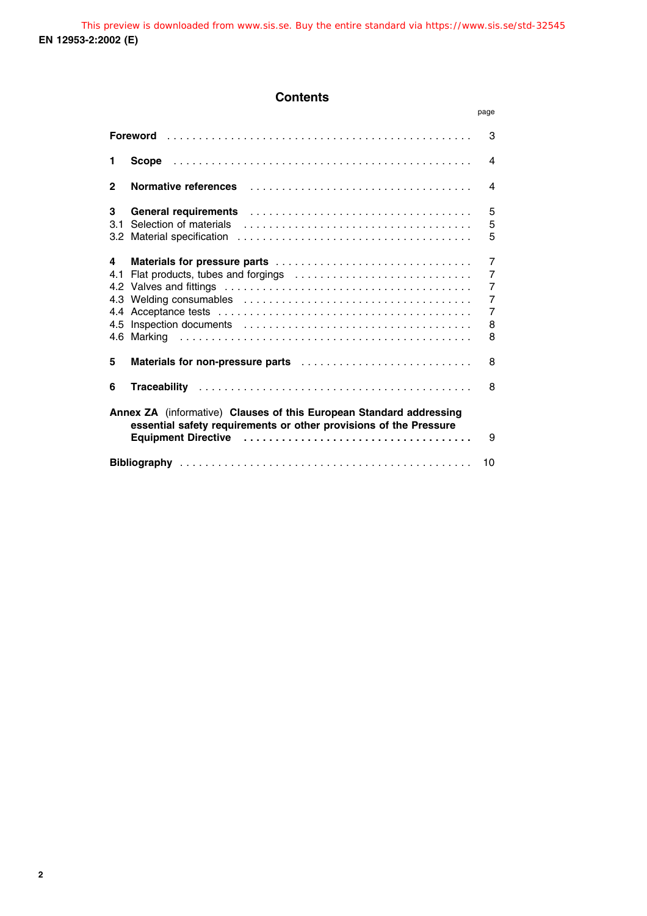## **Contents**

|                                                                                                                                               |                                                                                                                 | page                                                                                             |  |
|-----------------------------------------------------------------------------------------------------------------------------------------------|-----------------------------------------------------------------------------------------------------------------|--------------------------------------------------------------------------------------------------|--|
| 3<br>Foreword                                                                                                                                 |                                                                                                                 |                                                                                                  |  |
| 1                                                                                                                                             |                                                                                                                 | $\overline{4}$                                                                                   |  |
| $\mathbf{2}$                                                                                                                                  | <b>Normative references</b>                                                                                     | 4                                                                                                |  |
| 3<br>31<br>3.2 <sub>2</sub>                                                                                                                   | General requirements (and the contract of the contract of the contract of the contract of the contract of the c | 5<br>5<br>5                                                                                      |  |
| 4<br>4.1<br>4.2<br>4.3<br>4.4<br>4.5                                                                                                          | Flat products, tubes and forgings                                                                               | $\overline{7}$<br>$\overline{7}$<br>$\overline{7}$<br>$\overline{7}$<br>$\overline{7}$<br>8<br>8 |  |
| 5                                                                                                                                             |                                                                                                                 | 8                                                                                                |  |
| 6                                                                                                                                             |                                                                                                                 | 8                                                                                                |  |
| Annex ZA (informative) Clauses of this European Standard addressing<br>essential safety requirements or other provisions of the Pressure<br>9 |                                                                                                                 |                                                                                                  |  |
| 10                                                                                                                                            |                                                                                                                 |                                                                                                  |  |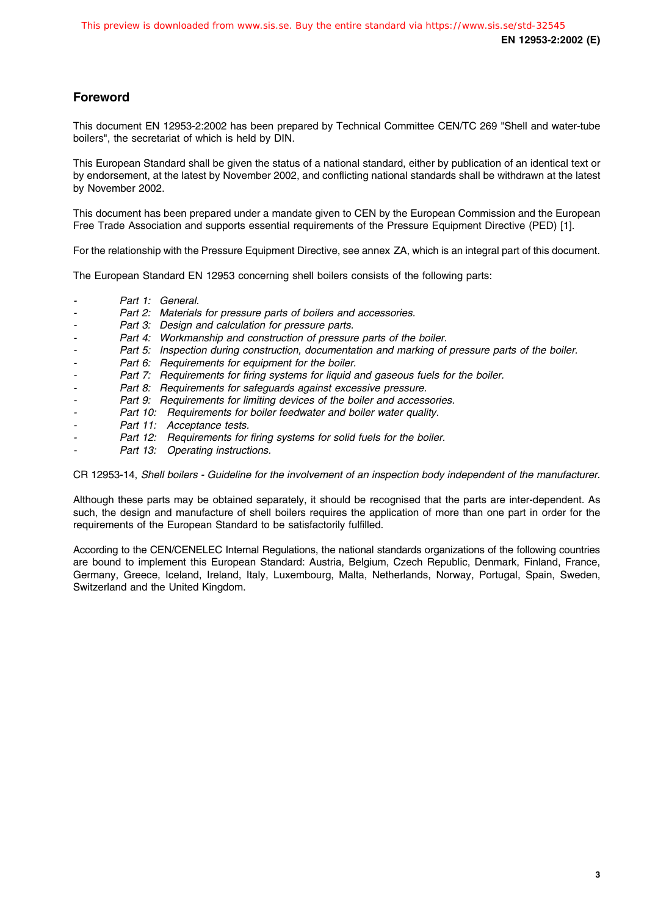### **Foreword**

This document EN 12953-2:2002 has been prepared by Technical Committee CEN/TC 269 "Shell and water-tube boilers", the secretariat of which is held by DIN.

This European Standard shall be given the status of a national standard, either by publication of an identical text or by endorsement, at the latest by November 2002, and conflicting national standards shall be withdrawn at the latest by November 2002.

This document has been prepared under a mandate given to CEN by the European Commission and the European Free Trade Association and supports essential requirements of the Pressure Equipment Directive (PED) [1].

For the relationship with the Pressure Equipment Directive, see annex ZA, which is an integral part of this document.

The European Standard EN 12953 concerning shell boilers consists of the following parts:

- Part 1: General.
- -Part 2: Materials for pressure parts of boilers and accessories.
- Part 3: Design and calculation for pressure parts.
	- Part 4: Workmanship and construction of pressure parts of the boiler.
- Part 5: Inspection during construction, documentation and marking of pressure parts of the boiler.
- -Part 6: Requirements for equipment for the boiler.
- Part 7: Requirements for firing systems for liquid and gaseous fuels for the boiler.
- Part 8: Requirements for safeguards against excessive pressure.
- Part 9: Requirements for limiting devices of the boiler and accessories.
- Part 10: Requirements for boiler feedwater and boiler water quality.
- Part 11: Acceptance tests.
- Part 12: Requirements for firing systems for solid fuels for the boiler.
- Part 13: Operating instructions.

CR 12953-14, Shell boilers - Guideline for the involvement of an inspection body independent of the manufacturer.

Although these parts may be obtained separately, it should be recognised that the parts are inter-dependent. As such, the design and manufacture of shell boilers requires the application of more than one part in order for the requirements of the European Standard to be satisfactorily fulfilled.

According to the CEN/CENELEC Internal Regulations, the national standards organizations of the following countries are bound to implement this European Standard: Austria, Belgium, Czech Republic, Denmark, Finland, France, Germany, Greece, Iceland, Ireland, Italy, Luxembourg, Malta, Netherlands, Norway, Portugal, Spain, Sweden, Switzerland and the United Kingdom.